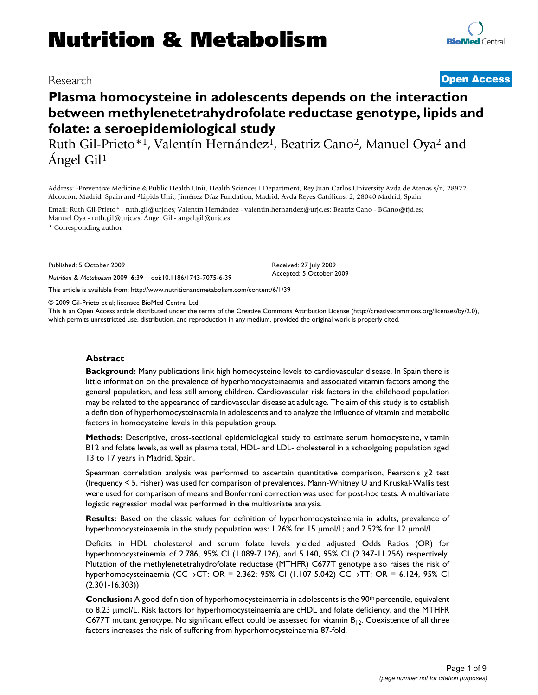# Research **[Open Access](http://www.biomedcentral.com/info/about/charter/) Plasma homocysteine in adolescents depends on the interaction**

**between methylenetetrahydrofolate reductase genotype, lipids and folate: a seroepidemiological study**

Ruth Gil-Prieto\*<sup>1</sup>, Valentín Hernández<sup>1</sup>, Beatriz Cano<sup>2</sup>, Manuel Oya<sup>2</sup> and Ángel Gil1

Address: 1Preventive Medicine & Public Health Unit, Health Sciences I Department, Rey Juan Carlos University Avda de Atenas s/n, 28922 Alcorcón, Madrid, Spain and 2Lipids Unit, Jiménez Díaz Fundation, Madrid, Avda Reyes Católicos, 2, 28040 Madrid, Spain

Email: Ruth Gil-Prieto\* - ruth.gil@urjc.es; Valentín Hernández - valentin.hernandez@urjc.es; Beatriz Cano - BCano@fjd.es; Manuel Oya - ruth.gil@urjc.es; Ángel Gil - angel.gil@urjc.es

\* Corresponding author

Published: 5 October 2009

*Nutrition & Metabolism* 2009, **6**:39 doi:10.1186/1743-7075-6-39

[This article is available from: http://www.nutritionandmetabolism.com/content/6/1/39](http://www.nutritionandmetabolism.com/content/6/1/39)

© 2009 Gil-Prieto et al; licensee BioMed Central Ltd.

This is an Open Access article distributed under the terms of the Creative Commons Attribution License [\(http://creativecommons.org/licenses/by/2.0\)](http://creativecommons.org/licenses/by/2.0), which permits unrestricted use, distribution, and reproduction in any medium, provided the original work is properly cited.

Received: 27 July 2009 Accepted: 5 October 2009

#### **Abstract**

**Background:** Many publications link high homocysteine levels to cardiovascular disease. In Spain there is little information on the prevalence of hyperhomocysteinaemia and associated vitamin factors among the general population, and less still among children. Cardiovascular risk factors in the childhood population may be related to the appearance of cardiovascular disease at adult age. The aim of this study is to establish a definition of hyperhomocysteinaemia in adolescents and to analyze the influence of vitamin and metabolic factors in homocysteine levels in this population group.

**Methods:** Descriptive, cross-sectional epidemiological study to estimate serum homocysteine, vitamin B12 and folate levels, as well as plasma total, HDL- and LDL- cholesterol in a schoolgoing population aged 13 to 17 years in Madrid, Spain.

Spearman correlation analysis was performed to ascertain quantitative comparison, Pearson's  $\chi$ 2 test (frequency < 5, Fisher) was used for comparison of prevalences, Mann-Whitney U and Kruskal-Wallis test were used for comparison of means and Bonferroni correction was used for post-hoc tests. A multivariate logistic regression model was performed in the multivariate analysis.

**Results:** Based on the classic values for definition of hyperhomocysteinaemia in adults, prevalence of hyperhomocysteinaemia in the study population was: 1.26% for 15 μmol/L; and 2.52% for 12 μmol/L.

Deficits in HDL cholesterol and serum folate levels yielded adjusted Odds Ratios (OR) for hyperhomocysteinemia of 2.786, 95% CI (1.089-7.126), and 5.140, 95% CI (2.347-11.256) respectively. Mutation of the methylenetetrahydrofolate reductase (MTHFR) C677T genotype also raises the risk of hyperhomocysteinaemia (CC→CT: OR = 2.362; 95% CI (1.107-5.042) CC→TT: OR = 6.124, 95% CI (2.301-16.303))

**Conclusion:** A good definition of hyperhomocysteinaemia in adolescents is the 90<sup>th</sup> percentile, equivalent to 8.23 μmol/L. Risk factors for hyperhomocysteinaemia are cHDL and folate deficiency, and the MTHFR C677T mutant genotype. No significant effect could be assessed for vitamin  $B_{12}$ . Coexistence of all three factors increases the risk of suffering from hyperhomocysteinaemia 87-fold.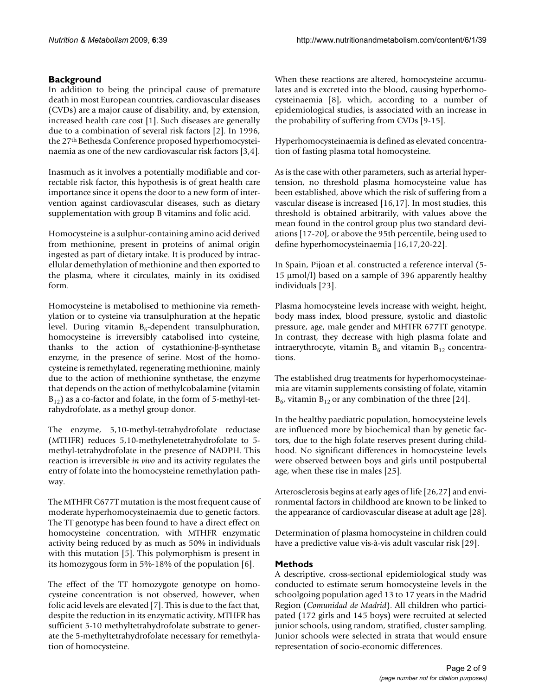# **Background**

In addition to being the principal cause of premature death in most European countries, cardiovascular diseases (CVDs) are a major cause of disability, and, by extension, increased health care cost [1]. Such diseases are generally due to a combination of several risk factors [2]. In 1996, the 27th Bethesda Conference proposed hyperhomocysteinaemia as one of the new cardiovascular risk factors [3,4].

Inasmuch as it involves a potentially modifiable and correctable risk factor, this hypothesis is of great health care importance since it opens the door to a new form of intervention against cardiovascular diseases, such as dietary supplementation with group B vitamins and folic acid.

Homocysteine is a sulphur-containing amino acid derived from methionine, present in proteins of animal origin ingested as part of dietary intake. It is produced by intracellular demethylation of methionine and then exported to the plasma, where it circulates, mainly in its oxidised form.

Homocysteine is metabolised to methionine via remethylation or to cysteine via transulphuration at the hepatic level. During vitamin  $B_6$ -dependent transulphuration, homocysteine is irreversibly catabolised into cysteine, thanks to the action of cystathionine-β-synthetase enzyme, in the presence of serine. Most of the homocysteine is remethylated, regenerating methionine, mainly due to the action of methionine synthetase, the enzyme that depends on the action of methylcobalamine (vitamin  $B_{12}$ ) as a co-factor and folate, in the form of 5-methyl-tetrahydrofolate, as a methyl group donor.

The enzyme, 5,10-methyl-tetrahydrofolate reductase (MTHFR) reduces 5,10-methylenetetrahydrofolate to 5 methyl-tetrahydrofolate in the presence of NADPH. This reaction is irreversible *in vivo* and its activity regulates the entry of folate into the homocysteine remethylation pathway.

The MTHFR C677T mutation is the most frequent cause of moderate hyperhomocysteinaemia due to genetic factors. The TT genotype has been found to have a direct effect on homocysteine concentration, with MTHFR enzymatic activity being reduced by as much as 50% in individuals with this mutation [5]. This polymorphism is present in its homozygous form in 5%-18% of the population [6].

The effect of the TT homozygote genotype on homocysteine concentration is not observed, however, when folic acid levels are elevated [7]. This is due to the fact that, despite the reduction in its enzymatic activity, MTHFR has sufficient 5-10 methyltetrahydrofolate substrate to generate the 5-methyltetrahydrofolate necessary for remethylation of homocysteine.

When these reactions are altered, homocysteine accumulates and is excreted into the blood, causing hyperhomocysteinaemia [8], which, according to a number of epidemiological studies, is associated with an increase in the probability of suffering from CVDs [9-15].

Hyperhomocysteinaemia is defined as elevated concentration of fasting plasma total homocysteine.

As is the case with other parameters, such as arterial hypertension, no threshold plasma homocysteine value has been established, above which the risk of suffering from a vascular disease is increased [16,17]. In most studies, this threshold is obtained arbitrarily, with values above the mean found in the control group plus two standard deviations [17-20], or above the 95th percentile, being used to define hyperhomocysteinaemia [16,17,20-22].

In Spain, Pijoan et al. constructed a reference interval (5- 15 μmol/l) based on a sample of 396 apparently healthy individuals [23].

Plasma homocysteine levels increase with weight, height, body mass index, blood pressure, systolic and diastolic pressure, age, male gender and MHTFR 677TT genotype. In contrast, they decrease with high plasma folate and intraerythrocyte, vitamin  $B_6$  and vitamin  $B_{12}$  concentrations.

The established drug treatments for hyperhomocysteinaemia are vitamin supplements consisting of folate, vitamin  $B_6$ , vitamin  $B_{12}$  or any combination of the three [24].

In the healthy paediatric population, homocysteine levels are influenced more by biochemical than by genetic factors, due to the high folate reserves present during childhood. No significant differences in homocysteine levels were observed between boys and girls until postpubertal age, when these rise in males [25].

Arterosclerosis begins at early ages of life [26,27] and environmental factors in childhood are known to be linked to the appearance of cardiovascular disease at adult age [28].

Determination of plasma homocysteine in children could have a predictive value vis-à-vis adult vascular risk [29].

# **Methods**

A descriptive, cross-sectional epidemiological study was conducted to estimate serum homocysteine levels in the schoolgoing population aged 13 to 17 years in the Madrid Region (*Comunidad de Madrid*). All children who participated (172 girls and 145 boys) were recruited at selected junior schools, using random, stratified, cluster sampling. Junior schools were selected in strata that would ensure representation of socio-economic differences.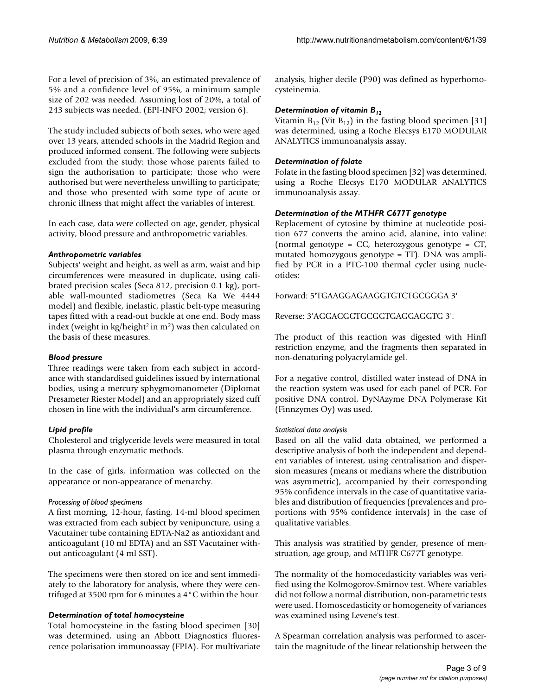For a level of precision of 3%, an estimated prevalence of 5% and a confidence level of 95%, a minimum sample size of 202 was needed. Assuming lost of 20%, a total of 243 subjects was needed. (EPI-INFO 2002; version 6).

The study included subjects of both sexes, who were aged over 13 years, attended schools in the Madrid Region and produced informed consent. The following were subjects excluded from the study: those whose parents failed to sign the authorisation to participate; those who were authorised but were nevertheless unwilling to participate; and those who presented with some type of acute or chronic illness that might affect the variables of interest.

In each case, data were collected on age, gender, physical activity, blood pressure and anthropometric variables.

#### *Anthropometric variables*

Subjects' weight and height, as well as arm, waist and hip circumferences were measured in duplicate, using calibrated precision scales (Seca 812, precision 0.1 kg), portable wall-mounted stadiometres (Seca Ka We 4444 model) and flexible, inelastic, plastic belt-type measuring tapes fitted with a read-out buckle at one end. Body mass index (weight in kg/height<sup>2</sup> in  $m<sup>2</sup>$ ) was then calculated on the basis of these measures.

#### *Blood pressure*

Three readings were taken from each subject in accordance with standardised guidelines issued by international bodies, using a mercury sphygmomanometer (Diplomat Presameter Riester Model) and an appropriately sized cuff chosen in line with the individual's arm circumference.

# *Lipid profile*

Cholesterol and triglyceride levels were measured in total plasma through enzymatic methods.

In the case of girls, information was collected on the appearance or non-appearance of menarchy.

#### *Processing of blood specimens*

A first morning, 12-hour, fasting, 14-ml blood specimen was extracted from each subject by venipuncture, using a Vacutainer tube containing EDTA-Na2 as antioxidant and anticoagulant (10 ml EDTA) and an SST Vacutainer without anticoagulant (4 ml SST).

The specimens were then stored on ice and sent immediately to the laboratory for analysis, where they were centrifuged at 3500 rpm for 6 minutes a 4°C within the hour.

# *Determination of total homocysteine*

Total homocysteine in the fasting blood specimen [30] was determined, using an Abbott Diagnostics fluorescence polarisation immunoassay (FPIA). For multivariate analysis, higher decile (P90) was defined as hyperhomocysteinemia.

#### *Determination of vitamin B12*

Vitamin  $B_{12}$  (Vit  $B_{12}$ ) in the fasting blood specimen [31] was determined, using a Roche Elecsys E170 MODULAR ANALYTICS immunoanalysis assay.

#### *Determination of folate*

Folate in the fasting blood specimen [32] was determined, using a Roche Elecsys E170 MODULAR ANALYTICS immunoanalysis assay.

# *Determination of the MTHFR C677T genotype*

Replacement of cytosine by thimine at nucleotide position 677 converts the amino acid, alanine, into valine: (normal genotype =  $CC$ , heterozygous genotype =  $CT$ , mutated homozygous genotype = TT). DNA was amplified by PCR in a PTC-100 thermal cycler using nucleotides:

Forward: 5'TGAAGGAGAAGGTGTCTGCGGGA 3'

Reverse: 3'AGGACGGTGCGGTGAGGAGGTG 3'.

The product of this reaction was digested with HinfI restriction enzyme, and the fragments then separated in non-denaturing polyacrylamide gel.

For a negative control, distilled water instead of DNA in the reaction system was used for each panel of PCR. For positive DNA control, DyNAzyme DNA Polymerase Kit (Finnzymes Oy) was used.

#### *Statistical data analysis*

Based on all the valid data obtained, we performed a descriptive analysis of both the independent and dependent variables of interest, using centralisation and dispersion measures (means or medians where the distribution was asymmetric), accompanied by their corresponding 95% confidence intervals in the case of quantitative variables and distribution of frequencies (prevalences and proportions with 95% confidence intervals) in the case of qualitative variables.

This analysis was stratified by gender, presence of menstruation, age group, and MTHFR C677T genotype.

The normality of the homocedasticity variables was verified using the Kolmogorov-Smirnov test. Where variables did not follow a normal distribution, non-parametric tests were used. Homoscedasticity or homogeneity of variances was examined using Levene's test.

A Spearman correlation analysis was performed to ascertain the magnitude of the linear relationship between the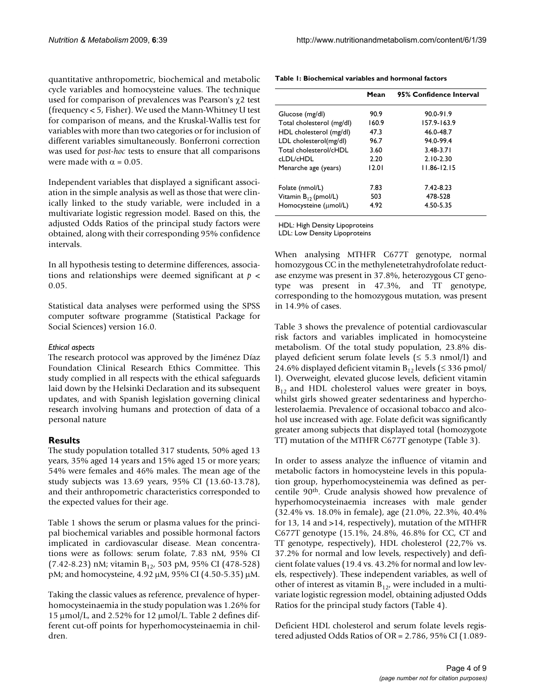quantitative anthropometric, biochemical and metabolic cycle variables and homocysteine values. The technique used for comparison of prevalences was Pearson's χ2 test (frequency < 5, Fisher). We used the Mann-Whitney U test for comparison of means, and the Kruskal-Wallis test for variables with more than two categories or for inclusion of different variables simultaneously. Bonferroni correction was used for *post-hoc* tests to ensure that all comparisons were made with  $\alpha = 0.05$ .

Independent variables that displayed a significant association in the simple analysis as well as those that were clinically linked to the study variable, were included in a multivariate logistic regression model. Based on this, the adjusted Odds Ratios of the principal study factors were obtained, along with their corresponding 95% confidence intervals.

In all hypothesis testing to determine differences, associations and relationships were deemed significant at *p* < 0.05.

Statistical data analyses were performed using the SPSS computer software programme (Statistical Package for Social Sciences) version 16.0.

# *Ethical aspects*

The research protocol was approved by the Jiménez Díaz Foundation Clinical Research Ethics Committee. This study complied in all respects with the ethical safeguards laid down by the Helsinki Declaration and its subsequent updates, and with Spanish legislation governing clinical research involving humans and protection of data of a personal nature

# **Results**

The study population totalled 317 students, 50% aged 13 years, 35% aged 14 years and 15% aged 15 or more years; 54% were females and 46% males. The mean age of the study subjects was 13.69 years, 95% CI (13.60-13.78), and their anthropometric characteristics corresponded to the expected values for their age.

Table 1 shows the serum or plasma values for the principal biochemical variables and possible hormonal factors implicated in cardiovascular disease. Mean concentrations were as follows: serum folate, 7.83 nM, 95% CI  $(7.42-8.23)$  nM; vitamin B<sub>12</sub>, 503 pM, 95% CI (478-528) pM; and homocysteine, 4.92 μM, 95% CI (4.50-5.35) μM.

Taking the classic values as reference, prevalence of hyperhomocysteinaemia in the study population was 1.26% for 15 μmol/L, and 2.52% for 12 μmol/L. Table 2 defines different cut-off points for hyperhomocysteinaemia in children.

|                           | Mean  | 95% Confidence Interval |
|---------------------------|-------|-------------------------|
| Glucose (mg/dl)           | 90.9  | 90.0-91.9               |
| Total cholesterol (mg/dl) | 160.9 | 157.9-163.9             |
| HDL cholesterol (mg/dl)   | 47.3  | 46.0-48.7               |
| LDL cholesterol(mg/dl)    | 96.7  | 94.0-99.4               |
| Total cholesterol/cHDI    | 3.60  | 3.48-3.71               |
| d DI /cHDI -              | 2.20  | $2.10 - 2.30$           |
| Menarche age (years)      | 12.01 | 11.86-12.15             |
| Folate (nmol/L)           | 7.83  | $7.42 - 8.23$           |
| Vitamin $B_{12}$ (pmol/L) | 503   | 478-528                 |
| Homocysteine (umol/L)     | 4.92  | 4.50-5.35               |

**Table 1: Biochemical variables and hormonal factors**

HDL: High Density Lipoproteins

LDL: Low Density Lipoproteins

When analysing MTHFR C677T genotype, normal homozygous CC in the methylenetetrahydrofolate reductase enzyme was present in 37.8%, heterozygous CT genotype was present in 47.3%, and TT genotype, corresponding to the homozygous mutation, was present in 14.9% of cases.

Table 3 shows the prevalence of potential cardiovascular risk factors and variables implicated in homocysteine metabolism. Of the total study population, 23.8% displayed deficient serum folate levels  $( \leq 5.3 \text{ nmol/l})$  and 24.6% displayed deficient vitamin  $B_{12}$  levels ( $\leq$  336 pmol/ l). Overweight, elevated glucose levels, deficient vitamin  $B_{12}$  and HDL cholesterol values were greater in boys, whilst girls showed greater sedentariness and hypercholesterolaemia. Prevalence of occasional tobacco and alcohol use increased with age. Folate deficit was significantly greater among subjects that displayed total (homozygote TT) mutation of the MTHFR C677T genotype (Table 3).

In order to assess analyze the influence of vitamin and metabolic factors in homocysteine levels in this population group, hyperhomocysteinemia was defined as percentile 90th. Crude analysis showed how prevalence of hyperhomocysteinaemia increases with male gender (32.4% vs. 18.0% in female), age (21.0%, 22.3%, 40.4% for 13, 14 and >14, respectively), mutation of the MTHFR C677T genotype (15.1%, 24.8%, 46.8% for CC, CT and TT genotype, respectively), HDL cholesterol (22,7% vs. 37.2% for normal and low levels, respectively) and deficient folate values (19.4 vs. 43.2% for normal and low levels, respectively). These independent variables, as well of other of interest as vitamin  $B_{12}$ , were included in a multivariate logistic regression model, obtaining adjusted Odds Ratios for the principal study factors (Table 4).

Deficient HDL cholesterol and serum folate levels registered adjusted Odds Ratios of OR = 2.786, 95% CI (1.089-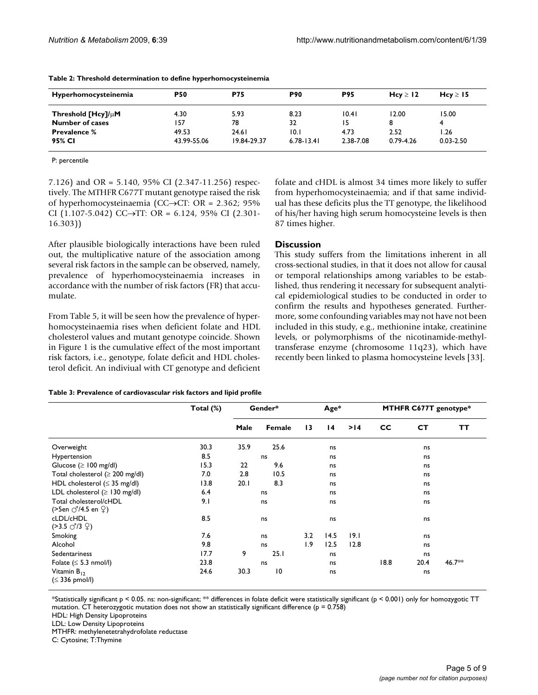| Hyperhomocysteinemia   | <b>P50</b>  | <b>P75</b>  | <b>P90</b>     | <b>P95</b> | Hcy $\geq$ 12 | Hcy $\geq$ 15 |
|------------------------|-------------|-------------|----------------|------------|---------------|---------------|
| Threshold $[Hcy]/µM$   | 4.30        | 5.93        | 8.23           | 10.41      | 12.00         | 15.00         |
| <b>Number of cases</b> | 157         | 78          | 32             | 15         | 8             | 4             |
| <b>Prevalence %</b>    | 49.53       | 24.61       | 10.1           | 4.73       | 2.52          | 1.26          |
| 95% CI                 | 43.99-55.06 | 19.84-29.37 | $6.78 - 13.41$ | 2.38-7.08  | $0.79 - 4.26$ | $0.03 - 2.50$ |

| Table 2: Threshold determination to define hyperhomocysteinemia |  |  |
|-----------------------------------------------------------------|--|--|
|                                                                 |  |  |

P: percentile

7.126) and OR = 5.140, 95% CI (2.347-11.256) respectively. The MTHFR C677T mutant genotype raised the risk of hyperhomocysteinaemia (CC→CT: OR = 2.362; 95% CI (1.107-5.042) CC→TT: OR = 6.124, 95% CI (2.301-16.303))

After plausible biologically interactions have been ruled out, the multiplicative nature of the association among several risk factors in the sample can be observed, namely, prevalence of hyperhomocysteinaemia increases in accordance with the number of risk factors (FR) that accumulate.

From Table 5, it will be seen how the prevalence of hyperhomocysteinaemia rises when deficient folate and HDL cholesterol values and mutant genotype coincide. Shown in Figure 1 is the cumulative effect of the most important risk factors, i.e., genotype, folate deficit and HDL cholesterol deficit. An indiviual with CT genotype and deficient

| folate and cHDL is almost 34 times more likely to suffer    |
|-------------------------------------------------------------|
| from hyperhomocysteinaemia; and if that same individ-       |
| ual has these deficits plus the TT genotype, the likelihood |
| of his/her having high serum homocysteine levels is then    |
| 87 times higher.                                            |

# **Discussion**

This study suffers from the limitations inherent in all cross-sectional studies, in that it does not allow for causal or temporal relationships among variables to be established, thus rendering it necessary for subsequent analytical epidemiological studies to be conducted in order to confirm the results and hypotheses generated. Furthermore, some confounding variables may not have not been included in this study, e.g., methionine intake, creatinine levels, or polymorphisms of the nicotinamide-methyltransferase enzyme (chromosome 11q23), which have recently been linked to plasma homocysteine levels [33].

| Table 3: Prevalence of cardiovascular risk factors and lipid profile |  |  |
|----------------------------------------------------------------------|--|--|
|                                                                      |  |  |

|                                                                                 | Total (%) | Gender* |                 | $Age*$ |                 | MTHFR C677T genotype* |           |           |        |
|---------------------------------------------------------------------------------|-----------|---------|-----------------|--------|-----------------|-----------------------|-----------|-----------|--------|
|                                                                                 |           | Male    | Female          | 13     | $\overline{14}$ | >14                   | <b>CC</b> | <b>CT</b> | TТ     |
| Overweight                                                                      | 30.3      | 35.9    | 25.6            |        | ns              |                       |           | ns        |        |
| Hypertension                                                                    | 8.5       |         | ns              |        | ns              |                       |           | ns        |        |
| Glucose ( $\geq$ 100 mg/dl)                                                     | 15.3      | 22      | 9.6             |        | ns              |                       |           | ns        |        |
| Total cholesterol ( $\geq 200$ mg/dl)                                           | 7.0       | 2.8     | 10.5            |        | ns              |                       |           | ns        |        |
| HDL cholesterol ( $\leq$ 35 mg/dl)                                              | 13.8      | 20.1    | 8.3             |        | ns              |                       |           | ns        |        |
| LDL cholesterol ( $\geq$ 130 mg/dl)                                             | 6.4       |         | ns              |        | ns              |                       |           | ns        |        |
| Total cholesterol/cHDL<br>(>5en $\circlearrowleft$ /4.5 en $\circlearrowleft$ ) | 9.1       |         | ns              |        | ns              |                       |           | ns        |        |
| cLDL/cHDL<br>$( >3.5 \circ 7/3 \circ 2)$                                        | 8.5       |         | ns              |        | ns              |                       |           | ns        |        |
| Smoking                                                                         | 7.6       |         | ns              | 3.2    | 14.5            | 9.1                   |           | ns        |        |
| Alcohol                                                                         | 9.8       |         | ns              | 1.9    | 12.5            | 12.8                  |           | ns        |        |
| Sedentariness                                                                   | 17.7      | 9       | 25.1            |        | ns              |                       |           | ns        |        |
| Folate ( $\leq$ 5.3 nmol/l)                                                     | 23.8      |         | ns              |        | ns              |                       | 18.8      | 20.4      | 46.7** |
| Vitamin $B_{12}$<br>$(\leq 336$ pmol/l)                                         | 24.6      | 30.3    | $\overline{10}$ |        | ns              |                       |           | ns        |        |

\*Statistically significant p < 0.05. ns: non-significant; \*\* differences in folate deficit were statistically significant (p < 0.001) only for homozygotic TT mutation. CT heterozygotic mutation does not show an statistically significant difference ( $p = 0.758$ )

HDL: High Density Lipoproteins

LDL: Low Density Lipoproteins

MTHFR: methylenetetrahydrofolate reductase

C: Cytosine; T:Thymine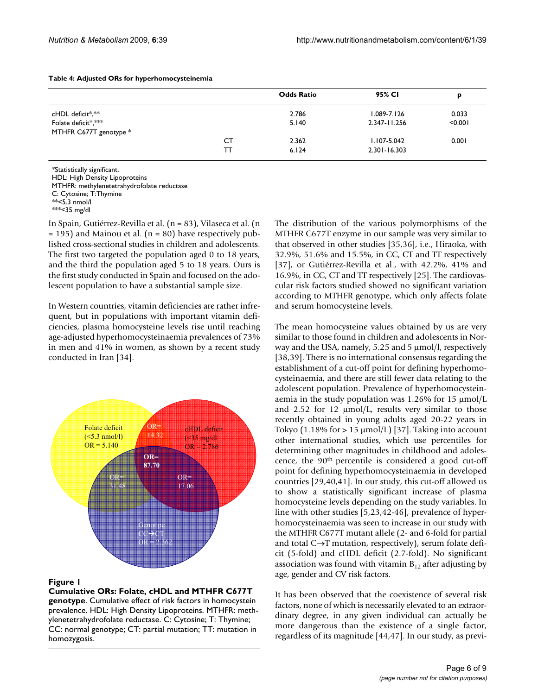| Table 4: Adjusted ORs for hyperhomocysteinemia |  |
|------------------------------------------------|--|
|------------------------------------------------|--|

|                                               |    | <b>Odds Ratio</b> | 95% CI          | p       |
|-----------------------------------------------|----|-------------------|-----------------|---------|
| cHDL deficit*,**                              |    | 2.786             | $1.089 - 7.126$ | 0.033   |
| Folate deficit*,***<br>MTHFR C677T genotype * |    | 5.140             | 2.347-11.256    | < 0.001 |
|                                               | СT | 2.362             | $1.107 - 5.042$ | 0.001   |
|                                               | TТ | 6.124             | 2.301-16.303    |         |

\*Statistically significant.

HDL: High Density Lipoproteins

MTHFR: methylenetetrahydrofolate reductase

C: Cytosine; T:Thymine

 $* < 35$  mg/dl

In Spain, Gutiérrez-Revilla et al. (n = 83), Vilaseca et al. (n  $= 195$ ) and Mainou et al. (n = 80) have respectively published cross-sectional studies in children and adolescents. The first two targeted the population aged 0 to 18 years, and the third the population aged 5 to 18 years. Ours is the first study conducted in Spain and focused on the adolescent population to have a substantial sample size.

In Western countries, vitamin deficiencies are rather infrequent, but in populations with important vitamin deficiencies, plasma homocysteine levels rise until reaching age-adjusted hyperhomocysteinaemia prevalences of 73% in men and 41% in women, as shown by a recent study conducted in Iran [34].



#### **Figure 1**

**Cumulative ORs: Folate, cHDL and MTHFR C677T genotype**. Cumulative effect of risk factors in homocystein prevalence. HDL: High Density Lipoproteins. MTHFR: methylenetetrahydrofolate reductase. C: Cytosine; T: Thymine; CC: normal genotype; CT: partial mutation; TT: mutation in homozygosis.

The distribution of the various polymorphisms of the MTHFR C677T enzyme in our sample was very similar to that observed in other studies [35,36], i.e., Hiraoka, with 32.9%, 51.6% and 15.5%, in CC, CT and TT respectively [37], or Gutiérrez-Revilla et al., with 42.2%, 41% and 16.9%, in CC, CT and TT respectively [25]. The cardiovascular risk factors studied showed no significant variation according to MTHFR genotype, which only affects folate and serum homocysteine levels.

The mean homocysteine values obtained by us are very similar to those found in children and adolescents in Norway and the USA, namely, 5.25 and 5 μmol/l, respectively [38,39]. There is no international consensus regarding the establishment of a cut-off point for defining hyperhomocysteinaemia, and there are still fewer data relating to the adolescent population. Prevalence of hyperhomocysteinaemia in the study population was 1.26% for 15 μmol/L and 2.52 for 12 μmol/L, results very similar to those recently obtained in young adults aged 20-22 years in Tokyo (1.18% for  $> 15 \mu$ mol/L) [37]. Taking into account other international studies, which use percentiles for determining other magnitudes in childhood and adolescence, the 90th percentile is considered a good cut-off point for defining hyperhomocysteinaemia in developed countries [29,40,41]. In our study, this cut-off allowed us to show a statistically significant increase of plasma homocysteine levels depending on the study variables. In line with other studies [5,23,42-46], prevalence of hyperhomocysteinaemia was seen to increase in our study with the MTHFR C677T mutant allele (2- and 6-fold for partial and total C→T mutation, respectively), serum folate deficit (5-fold) and cHDL deficit (2.7-fold). No significant association was found with vitamin  $B_{12}$  after adjusting by age, gender and CV risk factors.

It has been observed that the coexistence of several risk factors, none of which is necessarily elevated to an extraordinary degree, in any given individual can actually be more dangerous than the existence of a single factor, regardless of its magnitude [44,47]. In our study, as previ-

 $**$ <5.3 nmol/l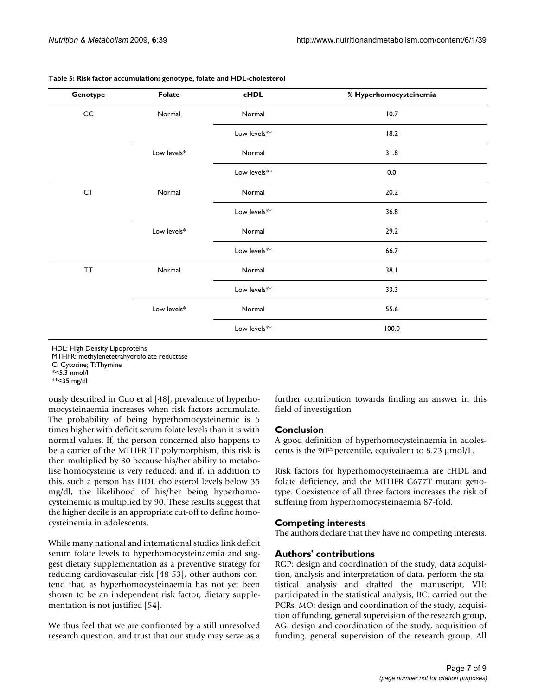| Genotype  | Folate      | <b>cHDL</b>              | % Hyperhomocysteinemia |
|-----------|-------------|--------------------------|------------------------|
| CC        | Normal      | Normal                   | 10.7                   |
|           |             | Low levels**             | 18.2                   |
|           | Low levels* | Normal                   | 31.8                   |
|           |             | Low levels**             | 0.0                    |
| CT        | Normal      | Normal                   | 20.2                   |
|           |             | Low levels <sup>**</sup> | 36.8                   |
|           | Low levels* | Normal                   | 29.2                   |
|           |             | Low levels <sup>**</sup> | 66.7                   |
| <b>TT</b> | Normal      | Normal                   | 38.1                   |
|           |             | Low levels**             | 33.3                   |
|           | Low levels* | Normal                   | 55.6                   |
|           |             | Low levels**             | 100.0                  |

**Table 5: Risk factor accumulation: genotype, folate and HDL-cholesterol**

HDL: High Density Lipoproteins MTHFR: methylenetetrahydrofolate reductase

C: Cytosine; T:Thymine

\*<5.3 nmol/l

ously described in Guo et al [48], prevalence of hyperhomocysteinaemia increases when risk factors accumulate. The probability of being hyperhomocysteinemic is 5 times higher with deficit serum folate levels than it is with normal values. If, the person concerned also happens to be a carrier of the MTHFR TT polymorphism, this risk is then multiplied by 30 because his/her ability to metabolise homocysteine is very reduced; and if, in addition to this, such a person has HDL cholesterol levels below 35 mg/dl, the likelihood of his/her being hyperhomocysteinemic is multiplied by 90. These results suggest that the higher decile is an appropriate cut-off to define homocysteinemia in adolescents.

While many national and international studies link deficit serum folate levels to hyperhomocysteinaemia and suggest dietary supplementation as a preventive strategy for reducing cardiovascular risk [48-53], other authors contend that, as hyperhomocysteinaemia has not yet been shown to be an independent risk factor, dietary supplementation is not justified [54].

We thus feel that we are confronted by a still unresolved research question, and trust that our study may serve as a

further contribution towards finding an answer in this field of investigation

# **Conclusion**

A good definition of hyperhomocysteinaemia in adolescents is the 90th percentile, equivalent to 8.23 μmol/L.

Risk factors for hyperhomocysteinaemia are cHDL and folate deficiency, and the MTHFR C677T mutant genotype. Coexistence of all three factors increases the risk of suffering from hyperhomocysteinaemia 87-fold.

# **Competing interests**

The authors declare that they have no competing interests.

# **Authors' contributions**

RGP: design and coordination of the study, data acquisition, analysis and interpretation of data, perform the statistical analysis and drafted the manuscript, VH: participated in the statistical analysis, BC: carried out the PCRs, MO: design and coordination of the study, acquisition of funding, general supervision of the research group, AG: design and coordination of the study, acquisition of funding, general supervision of the research group. All

 $**$ <35 mg/dl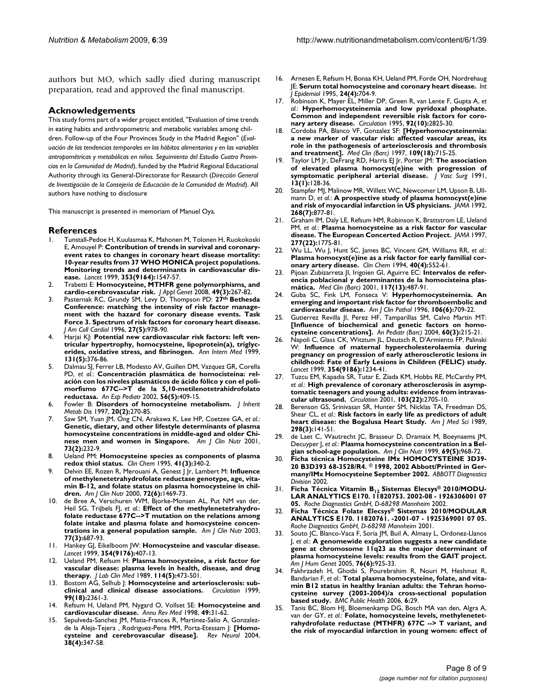authors but MO, which sadly died during manuscript preparation, read and approved the final manuscript.

#### **Acknowledgements**

This study forms part of a wider project entitled, "Evaluation of time trends in eating habits and anthropometric and metabolic variables among children. Follow-up of the Four Provinces Study in the Madrid Region" (*Evaluación de las tendencias temporales en los hábitos alimentarios y en las variables antropométricas y metabólicas en niños. Seguimiento del Estudio Cuatro Provincias en la Comunidad de Madrid*), funded by the Madrid Regional Educational Authority through its General-Directorate for Research (*Dirección General de Investigación de la Consejería de Educación de la Comunidad de Madrid*). All authors have nothing to disclosure

This manuscript is presented in memoriam of Manuel Oya.

#### **References**

- 1. Tunstall-Pedoe H, Kuulasmaa K, Mahonen M, Tolonen H, Ruokokoski E, Amouyel P: **[Contribution of trends in survival and coronary](http://www.ncbi.nlm.nih.gov/entrez/query.fcgi?cmd=Retrieve&db=PubMed&dopt=Abstract&list_uids=10334252)[event rates to changes in coronary heart disease mortality:](http://www.ncbi.nlm.nih.gov/entrez/query.fcgi?cmd=Retrieve&db=PubMed&dopt=Abstract&list_uids=10334252) 10-year results from 37 WHO MONICA project populations. Monitoring trends and determinants in cardiovascular dis[ease.](http://www.ncbi.nlm.nih.gov/entrez/query.fcgi?cmd=Retrieve&db=PubMed&dopt=Abstract&list_uids=10334252)** *Lancet* 1999, **353(9164):**1547-57.
- 2. Trabetti E: **[Homocysteine, MTHFR gene polymorphisms, and](http://www.ncbi.nlm.nih.gov/entrez/query.fcgi?cmd=Retrieve&db=PubMed&dopt=Abstract&list_uids=18670064) [cardio-cerebrovascular risk.](http://www.ncbi.nlm.nih.gov/entrez/query.fcgi?cmd=Retrieve&db=PubMed&dopt=Abstract&list_uids=18670064)** *J Appl Genet* 2008, **49(3):**267-82.
- 3. Pasternak RC, Grundy SM, Levy D, Thompson PD: **27th [Bethesda](http://www.ncbi.nlm.nih.gov/entrez/query.fcgi?cmd=Retrieve&db=PubMed&dopt=Abstract&list_uids=8609364) [Conference: matching the intensity of risk factor manage](http://www.ncbi.nlm.nih.gov/entrez/query.fcgi?cmd=Retrieve&db=PubMed&dopt=Abstract&list_uids=8609364)ment with the hazard for coronary disease events. Task Force 3. Spectrum of risk factors for coronary heart disease.** *J Am Coll Cardiol* 1996, **27(5):**978-90.
- Harjai KJ: [Potential new cardiovascular risk factors: left ven](http://www.ncbi.nlm.nih.gov/entrez/query.fcgi?cmd=Retrieve&db=PubMed&dopt=Abstract&list_uids=10475891)**[tricular hypertrophy, homocysteine, lipoprotein\(a\), triglyc](http://www.ncbi.nlm.nih.gov/entrez/query.fcgi?cmd=Retrieve&db=PubMed&dopt=Abstract&list_uids=10475891)[erides, oxidative stress, and fibrinogen.](http://www.ncbi.nlm.nih.gov/entrez/query.fcgi?cmd=Retrieve&db=PubMed&dopt=Abstract&list_uids=10475891)** *Ann Intern Med* 1999, **131(5):**376-86.
- 5. Dalmau SJ, Ferrer LB, Modesto AV, Guillen DM, Vazquez GR, Corella PD, *et al.*: **[Concentración plasmática de homocisteína: rel](http://www.ncbi.nlm.nih.gov/entrez/query.fcgi?cmd=Retrieve&db=PubMed&dopt=Abstract&list_uids=12042168)[ación con los niveles plasmáticos de ácido fólico y con el poli](http://www.ncbi.nlm.nih.gov/entrez/query.fcgi?cmd=Retrieve&db=PubMed&dopt=Abstract&list_uids=12042168)morfismo 677C-->T de la 5,10-metilenotetrahidrofolato [reductasa.](http://www.ncbi.nlm.nih.gov/entrez/query.fcgi?cmd=Retrieve&db=PubMed&dopt=Abstract&list_uids=12042168)** *An Esp Pediatr* 2002, **56(5):**409-15.
- 6. Fowler B: **[Disorders of homocysteine metabolism.](http://www.ncbi.nlm.nih.gov/entrez/query.fcgi?cmd=Retrieve&db=PubMed&dopt=Abstract&list_uids=9211199)** *J Inherit Metab Dis* 1997, **20(2):**270-85.
- 7. Saw SM, Yuan JM, Ong CN, Arakawa K, Lee HP, Coetzee GA, *et al.*: **[Genetic, dietary, and other lifestyle determinants of plasma](http://www.ncbi.nlm.nih.gov/entrez/query.fcgi?cmd=Retrieve&db=PubMed&dopt=Abstract&list_uids=11157318) homocysteine concentrations in middle-aged and older Chi[nese men and women in Singapore.](http://www.ncbi.nlm.nih.gov/entrez/query.fcgi?cmd=Retrieve&db=PubMed&dopt=Abstract&list_uids=11157318)** *Am J Clin Nutr* 2001, **73(2):**232-9.
- 8. Ueland PM: **[Homocysteine species as components of plasma](http://www.ncbi.nlm.nih.gov/entrez/query.fcgi?cmd=Retrieve&db=PubMed&dopt=Abstract&list_uids=7882507) [redox thiol status.](http://www.ncbi.nlm.nih.gov/entrez/query.fcgi?cmd=Retrieve&db=PubMed&dopt=Abstract&list_uids=7882507)** *Clin Chem* 1995, **41(3):**340-2.
- 9. Delvin EE, Rozen R, Merouani A, Genest J Jr, Lambert M: **[Influence](http://www.ncbi.nlm.nih.gov/entrez/query.fcgi?cmd=Retrieve&db=PubMed&dopt=Abstract&list_uids=11101473) [of methylenetetrahydrofolate reductase genotype, age, vita](http://www.ncbi.nlm.nih.gov/entrez/query.fcgi?cmd=Retrieve&db=PubMed&dopt=Abstract&list_uids=11101473)min B-12, and folate status on plasma homocysteine in chil[dren.](http://www.ncbi.nlm.nih.gov/entrez/query.fcgi?cmd=Retrieve&db=PubMed&dopt=Abstract&list_uids=11101473)** *Am J Clin Nutr* 2000, **72(6):**1469-73.
- 10. de Bree A, Verschuren WM, Bjorke-Monsen AL, Put NM van der, Heil SG, Trijbels FJ, *et al.*: **[Effect of the methylenetetrahydro](http://www.ncbi.nlm.nih.gov/entrez/query.fcgi?cmd=Retrieve&db=PubMed&dopt=Abstract&list_uids=12600862)[folate reductase 677C-->T mutation on the relations among](http://www.ncbi.nlm.nih.gov/entrez/query.fcgi?cmd=Retrieve&db=PubMed&dopt=Abstract&list_uids=12600862) folate intake and plasma folate and homocysteine concen[trations in a general population sample.](http://www.ncbi.nlm.nih.gov/entrez/query.fcgi?cmd=Retrieve&db=PubMed&dopt=Abstract&list_uids=12600862)** *Am J Clin Nutr* 2003, **77(3):**687-93.
- 11. Hankey GJ, Eikelboom JW: **[Homocysteine and vascular disease.](http://www.ncbi.nlm.nih.gov/entrez/query.fcgi?cmd=Retrieve&db=PubMed&dopt=Abstract&list_uids=10437885)** *Lancet* 1999, **354(9176):**407-13.
- 12. Ueland PM, Refsum H: **[Plasma homocysteine, a risk factor for](http://www.ncbi.nlm.nih.gov/entrez/query.fcgi?cmd=Retrieve&db=PubMed&dopt=Abstract&list_uids=2681479) [vascular disease: plasma levels in health, disease, and drug](http://www.ncbi.nlm.nih.gov/entrez/query.fcgi?cmd=Retrieve&db=PubMed&dopt=Abstract&list_uids=2681479) [therapy.](http://www.ncbi.nlm.nih.gov/entrez/query.fcgi?cmd=Retrieve&db=PubMed&dopt=Abstract&list_uids=2681479)** *J Lab Clin Med* 1989, **114(5):**473-501.
- 13. Bostom AG, Selhub J: **[Homocysteine and arteriosclerosis: sub](http://www.ncbi.nlm.nih.gov/entrez/query.fcgi?cmd=Retrieve&db=PubMed&dopt=Abstract&list_uids=10318653)[clinical and clinical disease associations.](http://www.ncbi.nlm.nih.gov/entrez/query.fcgi?cmd=Retrieve&db=PubMed&dopt=Abstract&list_uids=10318653)** *Circulation* 1999, **99(18):**2361-3.
- 14. Refsum H, Ueland PM, Nygard O, Vollset SE: **[Homocysteine and](http://www.ncbi.nlm.nih.gov/entrez/query.fcgi?cmd=Retrieve&db=PubMed&dopt=Abstract&list_uids=9509248) [cardiovascular disease.](http://www.ncbi.nlm.nih.gov/entrez/query.fcgi?cmd=Retrieve&db=PubMed&dopt=Abstract&list_uids=9509248)** *Annu Rev Med* 1998, **49:**31-62.
- Sepulveda-Sanchez JM, Matia-Frances R, Martinez-Salio A, Gonzalezde la Aleja-Tejera , Rodriguez-Pena MM, Porta-Etessam J: **[\[Homo](http://www.ncbi.nlm.nih.gov/entrez/query.fcgi?cmd=Retrieve&db=PubMed&dopt=Abstract&list_uids=14997460)[cysteine and cerebrovascular disease\].](http://www.ncbi.nlm.nih.gov/entrez/query.fcgi?cmd=Retrieve&db=PubMed&dopt=Abstract&list_uids=14997460)** *Rev Neurol* 2004, **38(4):**347-58.
- 16. Arnesen E, Refsum H, Bonaa KH, Ueland PM, Forde OH, Nordrehaug JE: **[Serum total homocysteine and coronary heart disease.](http://www.ncbi.nlm.nih.gov/entrez/query.fcgi?cmd=Retrieve&db=PubMed&dopt=Abstract&list_uids=8550266)** *Int J Epidemiol* 1995, **24(4):**704-9.
- 17. Robinson K, Mayer EL, Miller DP, Green R, van Lente F, Gupta A, *et al.*: **[Hyperhomocysteinemia and low pyridoxal phosphate.](http://www.ncbi.nlm.nih.gov/entrez/query.fcgi?cmd=Retrieve&db=PubMed&dopt=Abstract&list_uids=7586248) [Common and independent reversible risk factors for coro](http://www.ncbi.nlm.nih.gov/entrez/query.fcgi?cmd=Retrieve&db=PubMed&dopt=Abstract&list_uids=7586248)[nary artery disease.](http://www.ncbi.nlm.nih.gov/entrez/query.fcgi?cmd=Retrieve&db=PubMed&dopt=Abstract&list_uids=7586248)** *Circulation* 1995, **92(10):**2825-30.
- 18. Cordoba PA, Blanco VF, Gonzalez SF: **[\[Hyperhomocysteinemia:](http://www.ncbi.nlm.nih.gov/entrez/query.fcgi?cmd=Retrieve&db=PubMed&dopt=Abstract&list_uids=9499150) [a new marker of vascular risk: affected vascular areas, its](http://www.ncbi.nlm.nih.gov/entrez/query.fcgi?cmd=Retrieve&db=PubMed&dopt=Abstract&list_uids=9499150) role in the pathogenesis of arteriosclerosis and thrombosis [and treatment\].](http://www.ncbi.nlm.nih.gov/entrez/query.fcgi?cmd=Retrieve&db=PubMed&dopt=Abstract&list_uids=9499150)** *Med Clin (Barc)* 1997, **109(18):**715-25.
- 19. Taylor LM Jr, DeFrang RD, Harris EJ Jr, Porter JM: **[The association](http://www.ncbi.nlm.nih.gov/entrez/query.fcgi?cmd=Retrieve&db=PubMed&dopt=Abstract&list_uids=1987384) [of elevated plasma homocyst\(e\)ine with progression of](http://www.ncbi.nlm.nih.gov/entrez/query.fcgi?cmd=Retrieve&db=PubMed&dopt=Abstract&list_uids=1987384) [symptomatic peripheral arterial disease.](http://www.ncbi.nlm.nih.gov/entrez/query.fcgi?cmd=Retrieve&db=PubMed&dopt=Abstract&list_uids=1987384)** *J Vasc Surg* 1991, **13(1):**128-36.
- 20. Stampfer MJ, Malinow MR, Willett WC, Newcomer LM, Upson B, Ullmann D, *et al.*: **[A prospective study of plasma homocyst\(e\)ine](http://www.ncbi.nlm.nih.gov/entrez/query.fcgi?cmd=Retrieve&db=PubMed&dopt=Abstract&list_uids=1640615) [and risk of myocardial infarction in US physicians.](http://www.ncbi.nlm.nih.gov/entrez/query.fcgi?cmd=Retrieve&db=PubMed&dopt=Abstract&list_uids=1640615)** *JAMA* 1992, **268(7):**877-81.
- 21. Graham IM, Daly LE, Refsum HM, Robinson K, Brattstrom LE, Ueland PM, *et al.*: **[Plasma homocysteine as a risk factor for vascular](http://www.ncbi.nlm.nih.gov/entrez/query.fcgi?cmd=Retrieve&db=PubMed&dopt=Abstract&list_uids=9178790) [disease. The European Concerted Action Project.](http://www.ncbi.nlm.nih.gov/entrez/query.fcgi?cmd=Retrieve&db=PubMed&dopt=Abstract&list_uids=9178790)** *JAMA* 1997, **277(22):**1775-81.
- 22. Wu LL, Wu J, Hunt SC, James BC, Vincent GM, Williams RR, *et al.*: **[Plasma homocyst\(e\)ine as a risk factor for early familial cor](http://www.ncbi.nlm.nih.gov/entrez/query.fcgi?cmd=Retrieve&db=PubMed&dopt=Abstract&list_uids=8149609)[onary artery disease.](http://www.ncbi.nlm.nih.gov/entrez/query.fcgi?cmd=Retrieve&db=PubMed&dopt=Abstract&list_uids=8149609)** *Clin Chem* 1994, **40(4):**552-61.
- 23. Pijoan Zubizarreta JI, Irigoien GI, Aguirre EC: **[Intervalos de refer](http://www.ncbi.nlm.nih.gov/entrez/query.fcgi?cmd=Retrieve&db=PubMed&dopt=Abstract&list_uids=11707203)[encia poblacional y determinantes de la homocisteína plas](http://www.ncbi.nlm.nih.gov/entrez/query.fcgi?cmd=Retrieve&db=PubMed&dopt=Abstract&list_uids=11707203)[mática.](http://www.ncbi.nlm.nih.gov/entrez/query.fcgi?cmd=Retrieve&db=PubMed&dopt=Abstract&list_uids=11707203)** *Med Clin (Barc)* 2001, **117(13):**487-91.
- 24. Guba SC, Fink LM, Fonseca V: **[Hyperhomocysteinemia. An](http://www.ncbi.nlm.nih.gov/entrez/query.fcgi?cmd=Retrieve&db=PubMed&dopt=Abstract&list_uids=8980346) [emerging and important risk factor for thromboembolic and](http://www.ncbi.nlm.nih.gov/entrez/query.fcgi?cmd=Retrieve&db=PubMed&dopt=Abstract&list_uids=8980346) [cardiovascular disease.](http://www.ncbi.nlm.nih.gov/entrez/query.fcgi?cmd=Retrieve&db=PubMed&dopt=Abstract&list_uids=8980346)** *Am J Clin Pathol* 1996, **106(6):**709-22.
- 25. Gutierrez Revilla II, Perez HF, Tamparillas SM, Calvo Martin MT: **[\[Influence of biochemical and genetic factors on homo](http://www.ncbi.nlm.nih.gov/entrez/query.fcgi?cmd=Retrieve&db=PubMed&dopt=Abstract&list_uids=14987511)[cysteine concentrations\].](http://www.ncbi.nlm.nih.gov/entrez/query.fcgi?cmd=Retrieve&db=PubMed&dopt=Abstract&list_uids=14987511)** *An Pediatr (Barc)* 2004, **60(3):**215-21.
- 26. Napoli C, Glass CK, Witztum JL, Deutsch R, D'Armiento FP, Palinski W: **[Influence of maternal hypercholesterolaemia during](http://www.ncbi.nlm.nih.gov/entrez/query.fcgi?cmd=Retrieve&db=PubMed&dopt=Abstract&list_uids=10520631) [pregnancy on progression of early atherosclerotic lesions in](http://www.ncbi.nlm.nih.gov/entrez/query.fcgi?cmd=Retrieve&db=PubMed&dopt=Abstract&list_uids=10520631) childhood: Fate of Early Lesions in Children (FELIC) study.** *Lancet* 1999, **354(9186):**1234-41.
- 27. Tuzcu EM, Kapadia SR, Tutar E, Ziada KM, Hobbs RE, McCarthy PM, *et al.*: **[High prevalence of coronary atherosclerosis in asymp](http://www.ncbi.nlm.nih.gov/entrez/query.fcgi?cmd=Retrieve&db=PubMed&dopt=Abstract&list_uids=11390341)[tomatic teenagers and young adults: evidence from intravas](http://www.ncbi.nlm.nih.gov/entrez/query.fcgi?cmd=Retrieve&db=PubMed&dopt=Abstract&list_uids=11390341)[cular ultrasound.](http://www.ncbi.nlm.nih.gov/entrez/query.fcgi?cmd=Retrieve&db=PubMed&dopt=Abstract&list_uids=11390341)** *Circulation* 2001, **103(22):**2705-10.
- 28. Berenson GS, Srinivasan SR, Hunter SM, Nicklas TA, Freedman DS, Shear CL, *et al.*: **[Risk factors in early life as predictors of adult](http://www.ncbi.nlm.nih.gov/entrez/query.fcgi?cmd=Retrieve&db=PubMed&dopt=Abstract&list_uids=2679086) [heart disease: the Bogalusa Heart Study.](http://www.ncbi.nlm.nih.gov/entrez/query.fcgi?cmd=Retrieve&db=PubMed&dopt=Abstract&list_uids=2679086)** *Am J Med Sci* 1989, **298(3):**141-51.
- 29. de Laet C, Wautrecht JC, Brasseur D, Dramaix M, Boeynaems JM, Decuyper J, *et al.*: **[Plasma homocysteine concentration in a Bel](http://www.ncbi.nlm.nih.gov/entrez/query.fcgi?cmd=Retrieve&db=PubMed&dopt=Abstract&list_uids=10232638)[gian school-age population.](http://www.ncbi.nlm.nih.gov/entrez/query.fcgi?cmd=Retrieve&db=PubMed&dopt=Abstract&list_uids=10232638)** *Am J Clin Nutr* 1999, **69(5):**968-72.
- 30. **Ficha técnica Homocysteine IMx HOMOCYSTEINE 3D39- 20 B3D393 68-3528/R4. © 1998, 2002 Abbott/Printed in Germany/IMx Homocysteine September 2002.** *ABBOTT Diagnostics Division* 2002.
- 31. Ficha Técnica Vitamin B<sub>12</sub> Sistemas Elecsys® 2010/MODU-**LAR ANALYTICS E170. 11820753. 2002-08 - 1926306001 07 05.** *Roche Diagnostics GmbH, D-68298 Mannheim* 2002.
- 32. **Ficha Técnica Folate Elecsys® Sistemas 2010/MODULAR ANALYTICS E170. 11820761. -2001-07 - 1925369001 07 05.** *Roche Diagnostics GmbH, D-68298 Mannheim* 2001.
- 33. Souto JC, Blanco-Vaca F, Soria JM, Buil A, Almasy L, Ordonez-Llanos J, *et al.*: **[A genomewide exploration suggests a new candidate](http://www.ncbi.nlm.nih.gov/entrez/query.fcgi?cmd=Retrieve&db=PubMed&dopt=Abstract&list_uids=15849667) [gene at chromosome 11q23 as the major determinant of](http://www.ncbi.nlm.nih.gov/entrez/query.fcgi?cmd=Retrieve&db=PubMed&dopt=Abstract&list_uids=15849667) plasma homocysteine levels: results from the GAIT project.** *Am J Hum Genet* 2005, **76(6):**925-33.
- 34. Fakhrzadeh H, Ghotbi S, Pourebrahim R, Nouri M, Heshmat R, Bandarian F, *et al.*: **[Total plasma homocysteine, folate, and vita](http://www.ncbi.nlm.nih.gov/entrez/query.fcgi?cmd=Retrieve&db=PubMed&dopt=Abstract&list_uids=16472406)[min B12 status in healthy Iranian adults: the Tehran homo](http://www.ncbi.nlm.nih.gov/entrez/query.fcgi?cmd=Retrieve&db=PubMed&dopt=Abstract&list_uids=16472406)cysteine survey (2003-2004)/a cross-sectional population [based study.](http://www.ncbi.nlm.nih.gov/entrez/query.fcgi?cmd=Retrieve&db=PubMed&dopt=Abstract&list_uids=16472406)** *BMC Public Health* 2006, **6:**29.
- 35. Tanis BC, Blom HJ, Bloemenkamp DG, Bosch MA van den, Algra A, van der GY, *et al.*: **[Folate, homocysteine levels, methylenetet](http://www.ncbi.nlm.nih.gov/entrez/query.fcgi?cmd=Retrieve&db=PubMed&dopt=Abstract&list_uids=14717963)[rahydrofolate reductase \(MTHFR\) 677C --> T variant, and](http://www.ncbi.nlm.nih.gov/entrez/query.fcgi?cmd=Retrieve&db=PubMed&dopt=Abstract&list_uids=14717963) [the risk of myocardial infarction in young women: effect of](http://www.ncbi.nlm.nih.gov/entrez/query.fcgi?cmd=Retrieve&db=PubMed&dopt=Abstract&list_uids=14717963)**